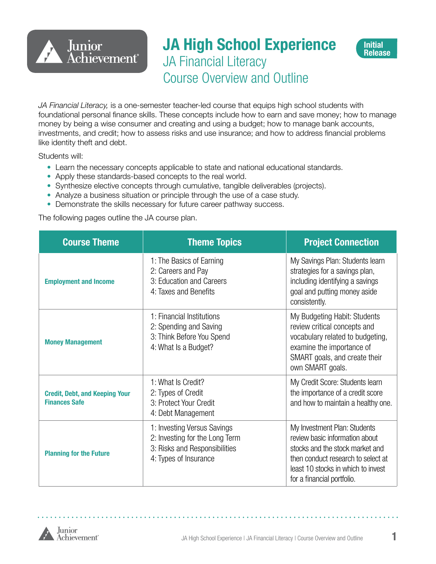

# **JA High School Experience** JA Financial Literacy Course Overview and Outline



*JA Financial Literacy,* is a one-semester teacher-led course that equips high school students with foundational personal finance skills. These concepts include how to earn and save money; how to manage money by being a wise consumer and creating and using a budget; how to manage bank accounts, investments, and credit; how to assess risks and use insurance; and how to address financial problems like identity theft and debt.

Students will:

- Learn the necessary concepts applicable to state and national educational standards.
- Apply these standards-based concepts to the real world.
- Synthesize elective concepts through cumulative, tangible deliverables (projects).
- Analyze a business situation or principle through the use of a case study.
- Demonstrate the skills necessary for future career pathway success.

The following pages outline the JA course plan.

| <b>Course Theme</b>                                           | <b>Theme Topics</b>                                                                                                     | <b>Project Connection</b>                                                                                                                                                          |
|---------------------------------------------------------------|-------------------------------------------------------------------------------------------------------------------------|------------------------------------------------------------------------------------------------------------------------------------------------------------------------------------|
| <b>Employment and Income</b>                                  | 1: The Basics of Earning<br>2: Careers and Pay<br>3: Education and Careers<br>4: Taxes and Benefits                     | My Savings Plan: Students learn<br>strategies for a savings plan,<br>including identifying a savings<br>goal and putting money aside<br>consistently.                              |
| <b>Money Management</b>                                       | 1: Financial Institutions<br>2: Spending and Saving<br>3: Think Before You Spend<br>4: What Is a Budget?                | My Budgeting Habit: Students<br>review critical concepts and<br>vocabulary related to budgeting,<br>examine the importance of<br>SMART goals, and create their<br>own SMART goals. |
| <b>Credit, Debt, and Keeping Your</b><br><b>Finances Safe</b> | 1: What Is Credit?<br>2: Types of Credit<br>3: Protect Your Credit<br>4: Debt Management                                | My Credit Score: Students learn<br>the importance of a credit score<br>and how to maintain a healthy one.                                                                          |
| <b>Planning for the Future</b>                                | 1: Investing Versus Savings<br>2: Investing for the Long Term<br>3: Risks and Responsibilities<br>4: Types of Insurance |                                                                                                                                                                                    |

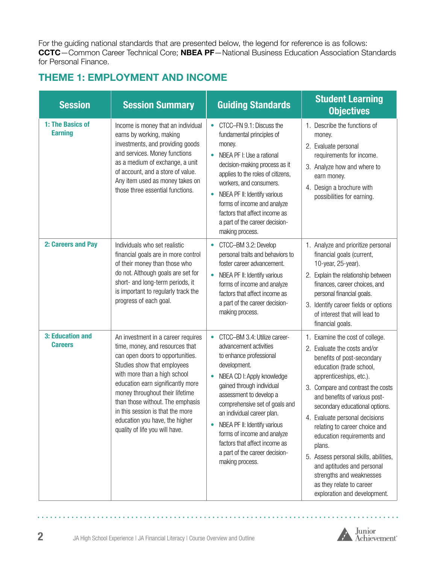For the guiding national standards that are presented below, the legend for reference is as follows: **CCTC**—Common Career Technical Core; **NBEA PF**—National Business Education Association Standards for Personal Finance.

## **THEME 1: EMPLOYMENT AND INCOME**

| <b>Session</b>                     | <b>Session Summary</b>                                                                                                                                                                                                                                                                                                                                                                       | <b>Guiding Standards</b>                                                                                                                                                                                                                                                                                                                                                                                                                            | <b>Student Learning</b><br><b>Objectives</b>                                                                                                                                                                                                                                                                                                                                                                                                                                                                                           |
|------------------------------------|----------------------------------------------------------------------------------------------------------------------------------------------------------------------------------------------------------------------------------------------------------------------------------------------------------------------------------------------------------------------------------------------|-----------------------------------------------------------------------------------------------------------------------------------------------------------------------------------------------------------------------------------------------------------------------------------------------------------------------------------------------------------------------------------------------------------------------------------------------------|----------------------------------------------------------------------------------------------------------------------------------------------------------------------------------------------------------------------------------------------------------------------------------------------------------------------------------------------------------------------------------------------------------------------------------------------------------------------------------------------------------------------------------------|
| 1: The Basics of<br><b>Earning</b> | Income is money that an individual<br>earns by working, making<br>investments, and providing goods<br>and services. Money functions<br>as a medium of exchange, a unit<br>of account, and a store of value.<br>Any item used as money takes on<br>those three essential functions.                                                                                                           | CTCC-FN 9.1: Discuss the<br>$\bullet$<br>fundamental principles of<br>money.<br>NBEA PF I: Use a rational<br>$\bullet$<br>decision-making process as it<br>applies to the roles of citizens,<br>workers, and consumers.<br>NBEA PF II: Identify various<br>$\bullet$<br>forms of income and analyze<br>factors that affect income as<br>a part of the career decision-<br>making process.                                                           | 1. Describe the functions of<br>money.<br>2. Evaluate personal<br>requirements for income.<br>3. Analyze how and where to<br>earn money.<br>4. Design a brochure with<br>possibilities for earning.                                                                                                                                                                                                                                                                                                                                    |
| 2: Careers and Pay                 | Individuals who set realistic<br>financial goals are in more control<br>of their money than those who<br>do not. Although goals are set for<br>short- and long-term periods, it<br>is important to regularly track the<br>progress of each goal.                                                                                                                                             | CTCC-BM 3.2: Develop<br>$\bullet$<br>personal traits and behaviors to<br>foster career advancement.<br>NBEA PF II: Identify various<br>$\bullet$<br>forms of income and analyze<br>factors that affect income as<br>a part of the career decision-<br>making process.                                                                                                                                                                               | 1. Analyze and prioritize personal<br>financial goals (current,<br>10-year, 25-year).<br>Explain the relationship between<br>2.<br>finances, career choices, and<br>personal financial goals.<br>3. Identify career fields or options<br>of interest that will lead to<br>financial goals.                                                                                                                                                                                                                                             |
| 3: Education and<br><b>Careers</b> | An investment in a career requires<br>time, money, and resources that<br>can open doors to opportunities.<br>Studies show that employees<br>with more than a high school<br>education earn significantly more<br>money throughout their lifetime<br>than those without. The emphasis<br>in this session is that the more<br>education you have, the higher<br>quality of life you will have. | CTCC-BM 3.4: Utilize career-<br>$\bullet$<br>advancement activities<br>to enhance professional<br>development.<br>NBEA CD I: Apply knowledge<br>$\bullet$<br>gained through individual<br>assessment to develop a<br>comprehensive set of goals and<br>an individual career plan.<br>NBEA PF II: Identify various<br>$\bullet$<br>forms of income and analyze<br>factors that affect income as<br>a part of the career decision-<br>making process. | 1. Examine the cost of college.<br>2. Evaluate the costs and/or<br>benefits of post-secondary<br>education (trade school,<br>apprenticeships, etc.).<br>3. Compare and contrast the costs<br>and benefits of various post-<br>secondary educational options.<br>4. Evaluate personal decisions<br>relating to career choice and<br>education requirements and<br>plans.<br>5. Assess personal skills, abilities,<br>and aptitudes and personal<br>strengths and weaknesses<br>as they relate to career<br>exploration and development. |



a a a a a

 $\mathbf{A}$ 

 $\mathbf{r}$  $\mathbf{A}$  and  $\mathbf{A}$  $\sim$  $\sim$   $\sim$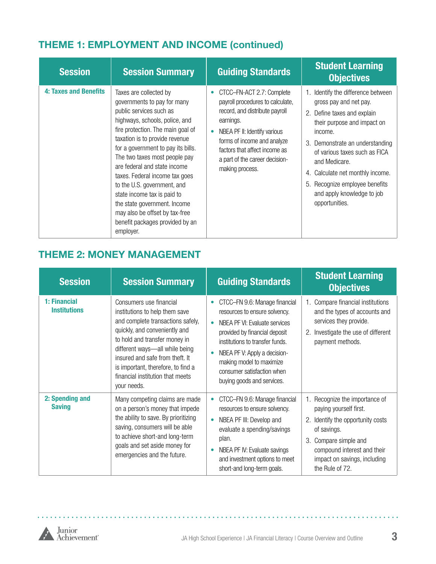# **THEME 1: EMPLOYMENT AND INCOME (continued)**

| <b>Session</b>               | <b>Session Summary</b>                                                                                                                                                                                                                                                                                                                                                                                                                                                                                             | <b>Guiding Standards</b>                                                                                                                                                                                                                                          | <b>Student Learning</b><br><b>Objectives</b>                                                                                                                                                                                                                                                                                                        |
|------------------------------|--------------------------------------------------------------------------------------------------------------------------------------------------------------------------------------------------------------------------------------------------------------------------------------------------------------------------------------------------------------------------------------------------------------------------------------------------------------------------------------------------------------------|-------------------------------------------------------------------------------------------------------------------------------------------------------------------------------------------------------------------------------------------------------------------|-----------------------------------------------------------------------------------------------------------------------------------------------------------------------------------------------------------------------------------------------------------------------------------------------------------------------------------------------------|
| <b>4: Taxes and Benefits</b> | Taxes are collected by<br>governments to pay for many<br>public services such as<br>highways, schools, police, and<br>fire protection. The main goal of<br>taxation is to provide revenue<br>for a government to pay its bills.<br>The two taxes most people pay<br>are federal and state income<br>taxes. Federal income tax goes<br>to the U.S. government, and<br>state income tax is paid to<br>the state government. Income<br>may also be offset by tax-free<br>benefit packages provided by an<br>employer. | CTCC-FN-ACT 2.7: Complete<br>payroll procedures to calculate,<br>record, and distribute payroll<br>earnings.<br>NBEA PF II: Identify various<br>forms of income and analyze<br>factors that affect income as<br>a part of the career decision-<br>making process. | 1. Identify the difference between<br>gross pay and net pay.<br>2. Define taxes and explain<br>their purpose and impact on<br>income.<br>3. Demonstrate an understanding<br>of various taxes such as FICA<br>and Medicare.<br>Calculate net monthly income.<br>4.<br>5. Recognize employee benefits<br>and apply knowledge to job<br>opportunities. |

## **THEME 2: MONEY MANAGEMENT**

| <b>Session</b>                      | <b>Session Summary</b>                                                                                                                                                                                                                                                                                                         | <b>Guiding Standards</b>                                                                                                                                                                                                                                                                                              | <b>Student Learning</b><br><b>Objectives</b>                                                                                                                                                                                  |
|-------------------------------------|--------------------------------------------------------------------------------------------------------------------------------------------------------------------------------------------------------------------------------------------------------------------------------------------------------------------------------|-----------------------------------------------------------------------------------------------------------------------------------------------------------------------------------------------------------------------------------------------------------------------------------------------------------------------|-------------------------------------------------------------------------------------------------------------------------------------------------------------------------------------------------------------------------------|
| 1: Financial<br><b>Institutions</b> | Consumers use financial<br>institutions to help them save<br>and complete transactions safely,<br>quickly, and conveniently and<br>to hold and transfer money in<br>different ways-all while being<br>insured and safe from theft. It<br>is important, therefore, to find a<br>financial institution that meets<br>your needs. | CTCC-FN 9.6: Manage financial<br>$\bullet$<br>resources to ensure solvency.<br>NBEA PF VI: Evaluate services<br>$\bullet$<br>provided by financial deposit<br>institutions to transfer funds.<br>NBEA PF V: Apply a decision-<br>making model to maximize<br>consumer satisfaction when<br>buying goods and services. | 1. Compare financial institutions<br>and the types of accounts and<br>services they provide.<br>Investigate the use of different<br>2.<br>payment methods.                                                                    |
| 2: Spending and<br><b>Saving</b>    | Many competing claims are made<br>on a person's money that impede<br>the ability to save. By prioritizing<br>saving, consumers will be able<br>to achieve short-and long-term<br>goals and set aside money for<br>emergencies and the future.                                                                                  | CTCC-FN 9.6: Manage financial<br>$\bullet$<br>resources to ensure solvency.<br>NBEA PF III: Develop and<br>evaluate a spending/savings<br>plan.<br>NBEA PF IV: Evaluate savings<br>and investment options to meet<br>short-and long-term goals.                                                                       | 1. Recognize the importance of<br>paying yourself first.<br>Identify the opportunity costs<br>2.<br>of savings.<br>Compare simple and<br>3.<br>compound interest and their<br>impact on savings, including<br>the Rule of 72. |

 $\sim$ 

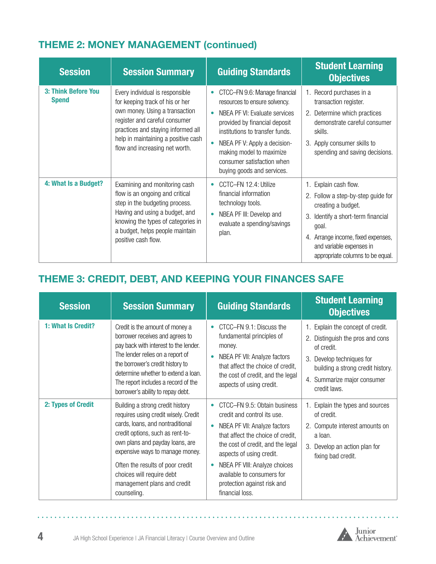# **THEME 2: MONEY MANAGEMENT (continued)**

| <b>Session</b>                      | <b>Session Summary</b>                                                                                                                                                                                                                               | <b>Guiding Standards</b>                                                                                                                                                                                                                                                                                              | <b>Student Learning</b><br><b>Objectives</b>                                                                                                                                                                                              |
|-------------------------------------|------------------------------------------------------------------------------------------------------------------------------------------------------------------------------------------------------------------------------------------------------|-----------------------------------------------------------------------------------------------------------------------------------------------------------------------------------------------------------------------------------------------------------------------------------------------------------------------|-------------------------------------------------------------------------------------------------------------------------------------------------------------------------------------------------------------------------------------------|
| 3: Think Before You<br><b>Spend</b> | Every individual is responsible<br>for keeping track of his or her<br>own money. Using a transaction<br>register and careful consumer<br>practices and staying informed all<br>help in maintaining a positive cash<br>flow and increasing net worth. | CTCC-FN 9.6: Manage financial<br>$\bullet$<br>resources to ensure solvency.<br>NBEA PF VI: Evaluate services<br>provided by financial deposit<br>institutions to transfer funds.<br>NBEA PF V: Apply a decision-<br>$\bullet$<br>making model to maximize<br>consumer satisfaction when<br>buying goods and services. | 1. Record purchases in a<br>transaction register.<br>2. Determine which practices<br>demonstrate careful consumer<br>skills.<br>3. Apply consumer skills to<br>spending and saving decisions.                                             |
| 4: What Is a Budget?                | Examining and monitoring cash<br>flow is an ongoing and critical<br>step in the budgeting process.<br>Having and using a budget, and<br>knowing the types of categories in<br>a budget, helps people maintain<br>positive cash flow.                 | CCTC-FN 12.4: Utilize<br>$\bullet$<br>financial information<br>technology tools.<br>NBEA PF III: Develop and<br>evaluate a spending/savings<br>plan.                                                                                                                                                                  | 1. Explain cash flow.<br>2. Follow a step-by-step guide for<br>creating a budget.<br>3. Identify a short-term financial<br>goal.<br>Arrange income, fixed expenses,<br>4.<br>and variable expenses in<br>appropriate columns to be equal. |

# **THEME 3: CREDIT, DEBT, AND KEEPING YOUR FINANCES SAFE**

| <b>Session</b>     | <b>Session Summary</b>                                                                                                                                                                                                                                                                                                                | <b>Guiding Standards</b>                                                                                                                                                                                                                                                                                           | <b>Student Learning</b><br><b>Objectives</b>                                                                                                                                                         |
|--------------------|---------------------------------------------------------------------------------------------------------------------------------------------------------------------------------------------------------------------------------------------------------------------------------------------------------------------------------------|--------------------------------------------------------------------------------------------------------------------------------------------------------------------------------------------------------------------------------------------------------------------------------------------------------------------|------------------------------------------------------------------------------------------------------------------------------------------------------------------------------------------------------|
| 1: What Is Credit? | Credit is the amount of money a<br>borrower receives and agrees to<br>pay back with interest to the lender.<br>The lender relies on a report of<br>the borrower's credit history to<br>determine whether to extend a loan.<br>The report includes a record of the<br>borrower's ability to repay debt.                                | CTCC-FN 9.1: Discuss the<br>$\bullet$<br>fundamental principles of<br>money.<br>NBEA PF VII: Analyze factors<br>that affect the choice of credit,<br>the cost of credit, and the legal<br>aspects of using credit.                                                                                                 | 1. Explain the concept of credit.<br>2. Distinguish the pros and cons<br>of credit.<br>3. Develop techniques for<br>building a strong credit history.<br>4. Summarize major consumer<br>credit laws. |
| 2: Types of Credit | Building a strong credit history<br>requires using credit wisely. Credit<br>cards, loans, and nontraditional<br>credit options, such as rent-to-<br>own plans and payday loans, are<br>expensive ways to manage money.<br>Often the results of poor credit<br>choices will require debt<br>management plans and credit<br>counseling. | CTCC-FN 9.5: Obtain business<br>credit and control its use.<br>NBEA PF VII: Analyze factors<br>that affect the choice of credit.<br>the cost of credit, and the legal<br>aspects of using credit.<br>NBEA PF VIII: Analyze choices<br>available to consumers for<br>protection against risk and<br>financial loss. | 1. Explain the types and sources<br>of credit.<br>2. Compute interest amounts on<br>a loan.<br>3. Develop an action plan for<br>fixing bad credit.                                                   |



and and and and

. . . . . .

 $\sim$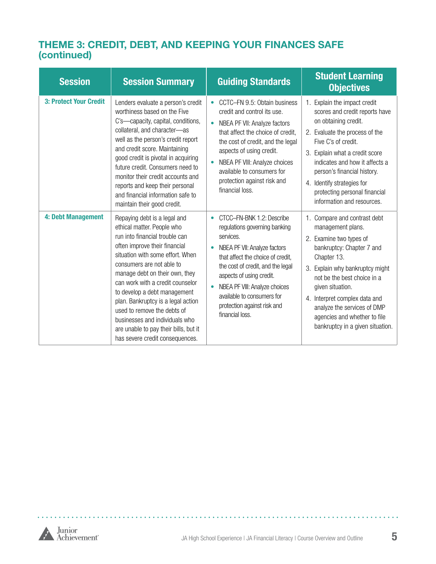#### **THEME 3: CREDIT, DEBT, AND KEEPING YOUR FINANCES SAFE (continued)**

| <b>Session</b>                | <b>Session Summary</b>                                                                                                                                                                                                                                                                                                                                                                                                                                                                  | <b>Guiding Standards</b>                                                                                                                                                                                                                                                                                                                                 | <b>Student Learning</b><br><b>Objectives</b>                                                                                                                                                                                                                                                                                                       |
|-------------------------------|-----------------------------------------------------------------------------------------------------------------------------------------------------------------------------------------------------------------------------------------------------------------------------------------------------------------------------------------------------------------------------------------------------------------------------------------------------------------------------------------|----------------------------------------------------------------------------------------------------------------------------------------------------------------------------------------------------------------------------------------------------------------------------------------------------------------------------------------------------------|----------------------------------------------------------------------------------------------------------------------------------------------------------------------------------------------------------------------------------------------------------------------------------------------------------------------------------------------------|
| <b>3: Protect Your Credit</b> | Lenders evaluate a person's credit<br>worthiness based on the Five<br>C's-capacity, capital, conditions,<br>collateral, and character-as<br>well as the person's credit report<br>and credit score. Maintaining<br>good credit is pivotal in acquiring<br>future credit. Consumers need to<br>monitor their credit accounts and<br>reports and keep their personal<br>and financial information safe to<br>maintain their good credit.                                                  | CCTC-FN 9.5: Obtain business<br>$\bullet$<br>credit and control its use.<br>NBEA PF VII: Analyze factors<br>$\bullet$<br>that affect the choice of credit,<br>the cost of credit, and the legal<br>aspects of using credit.<br>NBEA PF VIII: Analyze choices<br>available to consumers for<br>protection against risk and<br>financial loss.             | 1. Explain the impact credit<br>scores and credit reports have<br>on obtaining credit.<br>2. Evaluate the process of the<br>Five C's of credit.<br>3. Explain what a credit score<br>indicates and how it affects a<br>person's financial history.<br>4. Identify strategies for<br>protecting personal financial<br>information and resources.    |
| 4: Debt Management            | Repaying debt is a legal and<br>ethical matter. People who<br>run into financial trouble can<br>often improve their financial<br>situation with some effort. When<br>consumers are not able to<br>manage debt on their own, they<br>can work with a credit counselor<br>to develop a debt management<br>plan. Bankruptcy is a legal action<br>used to remove the debts of<br>businesses and individuals who<br>are unable to pay their bills, but it<br>has severe credit consequences. | CTCC-FN-BNK 1.2: Describe<br>$\bullet$<br>regulations governing banking<br>services.<br>NBEA PF VII: Analyze factors<br>that affect the choice of credit,<br>the cost of credit, and the legal<br>aspects of using credit.<br>NBEA PF VIII: Analyze choices<br>$\bullet$<br>available to consumers for<br>protection against risk and<br>financial loss. | 1. Compare and contrast debt<br>management plans.<br>2. Examine two types of<br>bankruptcy: Chapter 7 and<br>Chapter 13.<br>3. Explain why bankruptcy might<br>not be the best choice in a<br>given situation.<br>4. Interpret complex data and<br>analyze the services of DMP<br>agencies and whether to file<br>bankruptcy in a given situation. |

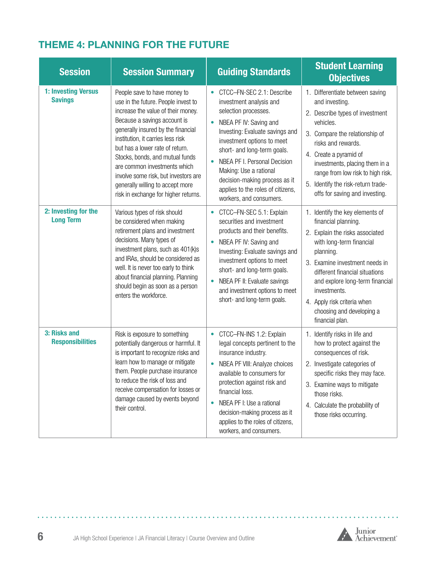#### **THEME 4: PLANNING FOR THE FUTURE**

| <b>Session</b>                           | <b>Session Summary</b>                                                                                                                                                                                                                                                                                                                                                                                                                         | <b>Guiding Standards</b>                                                                                                                                                                                                                                                                                                                                                                                 | <b>Student Learning</b><br><b>Objectives</b>                                                                                                                                                                                                                                                                                             |
|------------------------------------------|------------------------------------------------------------------------------------------------------------------------------------------------------------------------------------------------------------------------------------------------------------------------------------------------------------------------------------------------------------------------------------------------------------------------------------------------|----------------------------------------------------------------------------------------------------------------------------------------------------------------------------------------------------------------------------------------------------------------------------------------------------------------------------------------------------------------------------------------------------------|------------------------------------------------------------------------------------------------------------------------------------------------------------------------------------------------------------------------------------------------------------------------------------------------------------------------------------------|
| 1: Investing Versus<br><b>Savings</b>    | People save to have money to<br>use in the future. People invest to<br>increase the value of their money.<br>Because a savings account is<br>generally insured by the financial<br>institution, it carries less risk<br>but has a lower rate of return.<br>Stocks, bonds, and mutual funds<br>are common investments which<br>involve some risk, but investors are<br>generally willing to accept more<br>risk in exchange for higher returns. | CTCC-FN-SEC 2.1: Describe<br>$\bullet$<br>investment analysis and<br>selection processes.<br>NBEA PF IV: Saving and<br>$\bullet$<br>Investing: Evaluate savings and<br>investment options to meet<br>short- and long-term goals.<br>NBEA PF I. Personal Decision<br>$\bullet$<br>Making: Use a rational<br>decision-making process as it<br>applies to the roles of citizens,<br>workers, and consumers. | 1. Differentiate between saving<br>and investing.<br>2. Describe types of investment<br>vehicles.<br>3. Compare the relationship of<br>risks and rewards.<br>4. Create a pyramid of<br>investments, placing them in a<br>range from low risk to high risk.<br>5. Identify the risk-return trade-<br>offs for saving and investing.       |
| 2: Investing for the<br><b>Long Term</b> | Various types of risk should<br>be considered when making<br>retirement plans and investment<br>decisions. Many types of<br>investment plans, such as 401(k)s<br>and IRAs, should be considered as<br>well. It is never too early to think<br>about financial planning. Planning<br>should begin as soon as a person<br>enters the workforce.                                                                                                  | CTCC-FN-SEC 5.1: Explain<br>$\bullet$<br>securities and investment<br>products and their benefits.<br>NBEA PF IV: Saving and<br>$\bullet$<br>Investing: Evaluate savings and<br>investment options to meet<br>short- and long-term goals.<br>NBEA PF II: Evaluate savings<br>$\bullet$<br>and investment options to meet<br>short- and long-term goals.                                                  | 1. Identify the key elements of<br>financial planning.<br>2. Explain the risks associated<br>with long-term financial<br>planning.<br>3. Examine investment needs in<br>different financial situations<br>and explore long-term financial<br>investments.<br>4. Apply risk criteria when<br>choosing and developing a<br>financial plan. |
| 3: Risks and<br><b>Responsibilities</b>  | Risk is exposure to something<br>potentially dangerous or harmful. It<br>is important to recognize risks and<br>learn how to manage or mitigate<br>them. People purchase insurance<br>to reduce the risk of loss and<br>receive compensation for losses or<br>damage caused by events beyond<br>their control.                                                                                                                                 | CTCC-FN-INS 1.2: Explain<br>$\bullet$<br>legal concepts pertinent to the<br>insurance industry.<br>NBEA PF VIII: Analyze choices<br>$\bullet$<br>available to consumers for<br>protection against risk and<br>financial loss.<br>NBEA PF I: Use a rational<br>$\bullet$<br>decision-making process as it<br>applies to the roles of citizens,<br>workers, and consumers.                                 | 1. Identify risks in life and<br>how to protect against the<br>consequences of risk.<br>2. Investigate categories of<br>specific risks they may face.<br>3. Examine ways to mitigate<br>those risks.<br>4. Calculate the probability of<br>those risks occurring.                                                                        |



 $\lambda$